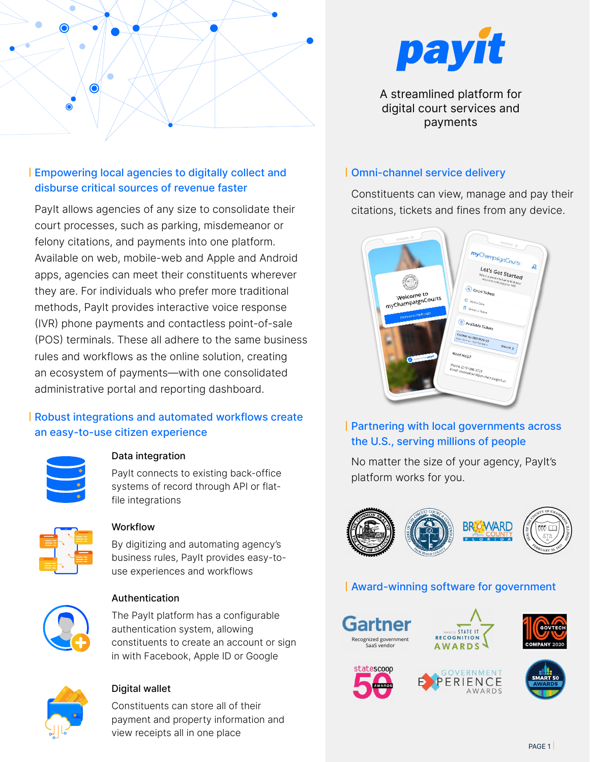

# Empowering local agencies to digitally collect and disburse critical sources of revenue faster

PayIt allows agencies of any size to consolidate their court processes, such as parking, misdemeanor or felony citations, and payments into one platform. Available on web, mobile-web and Apple and Android apps, agencies can meet their constituents wherever they are. For individuals who prefer more traditional methods, PayIt provides interactive voice response (IVR) phone payments and contactless point-of-sale (POS) terminals. These all adhere to the same business rules and workflows as the online solution, creating an ecosystem of payments—with one consolidated administrative portal and reporting dashboard.

## Robust integrations and automated workflows create an easy-to-use citizen experience



### Data integration

PayIt connects to existing back-office systems of record through API or flatfile integrations



### Workflow

By digitizing and automating agency's business rules, PayIt provides easy-touse experiences and workflows



### Authentication

The PayIt platform has a configurable authentication system, allowing constituents to create an account or sign in with Facebook, Apple ID or Google



### Digital wallet

Constituents can store all of their payment and property information and view receipts all in one place



A streamlined platform for digital court services and payments

### Omni-channel service delivery

Constituents can view, manage and pay their citations, tickets and fines from any device.



Partnering with local governments across the U.S., serving millions of people

No matter the size of your agency, PayIt's platform works for you.



# Award-winning software for government